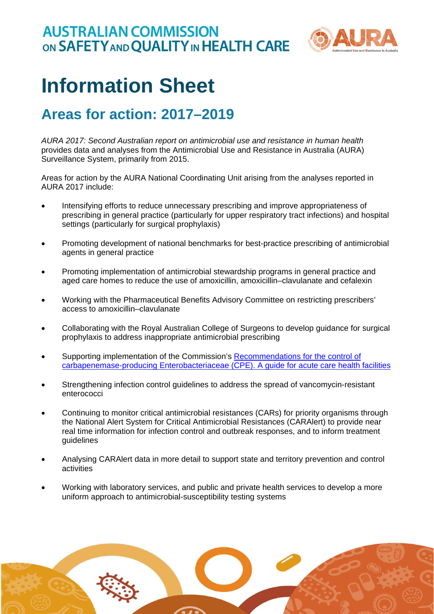

## **Information Sheet**

## **Areas for action: 2017–2019**

*AURA 2017: Second Australian report on antimicrobial use and resistance in human health* provides data and analyses from the Antimicrobial Use and Resistance in Australia (AURA) Surveillance System, primarily from 2015.

Areas for action by the AURA National Coordinating Unit arising from the analyses reported in AURA 2017 include:

- Intensifying efforts to reduce unnecessary prescribing and improve appropriateness of prescribing in general practice (particularly for upper respiratory tract infections) and hospital settings (particularly for surgical prophylaxis)
- Promoting development of national benchmarks for best-practice prescribing of antimicrobial agents in general practice
- Promoting implementation of antimicrobial stewardship programs in general practice and aged care homes to reduce the use of amoxicillin, amoxicillin–clavulanate and cefalexin
- Working with the Pharmaceutical Benefits Advisory Committee on restricting prescribers' access to amoxicillin–clavulanate
- Collaborating with the Royal Australian College of Surgeons to develop guidance for surgical prophylaxis to address inappropriate antimicrobial prescribing
- Supporting implementation of the Commission's Recommendations for the control of carbapenemase-producing Enterobacteriaceae (CPE). A guide for acute care health facilities
- Strengthening infection control guidelines to address the spread of vancomycin-resistant enterococci
- Continuing to monitor critical antimicrobial resistances (CARs) for priority organisms through the National Alert System for Critical Antimicrobial Resistances (CARAlert) to provide near real time information for infection control and outbreak responses, and to inform treatment guidelines
- Analysing CARAlert data in more detail to support state and territory prevention and control activities
- Working with laboratory services, and public and private health services to develop a more uniform approach to antimicrobial-susceptibility testing systems